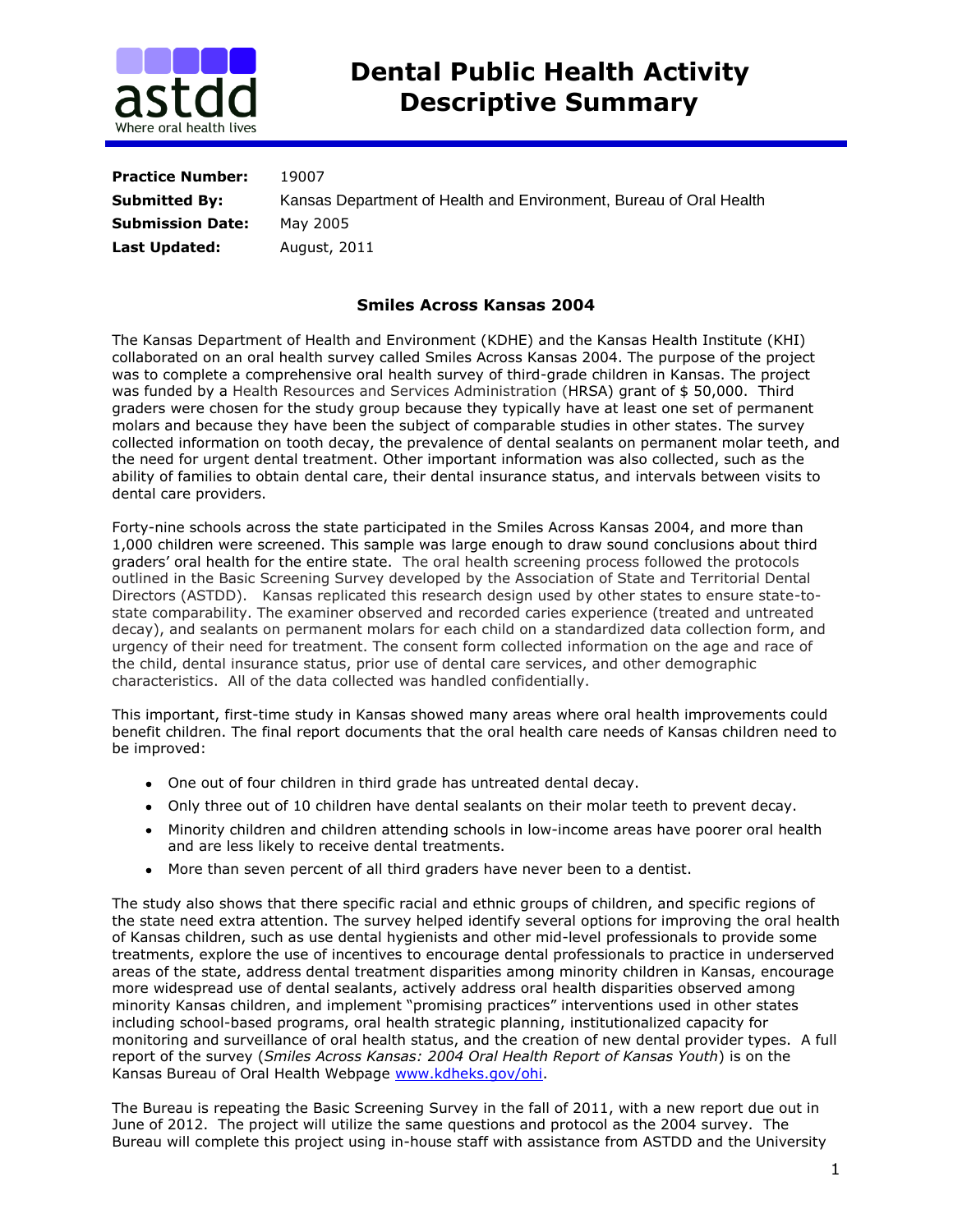

| <b>Practice Number:</b> | 19007                                                              |
|-------------------------|--------------------------------------------------------------------|
| <b>Submitted By:</b>    | Kansas Department of Health and Environment, Bureau of Oral Health |
| <b>Submission Date:</b> | May 2005                                                           |
| Last Updated:           | August, 2011                                                       |

## **Smiles Across Kansas 2004**

The Kansas Department of Health and Environment (KDHE) and the Kansas Health Institute (KHI) collaborated on an oral health survey called Smiles Across Kansas 2004. The purpose of the project was to complete a comprehensive oral health survey of third-grade children in Kansas. The project was funded by a Health Resources and Services Administration (HRSA) grant of \$50,000. Third graders were chosen for the study group because they typically have at least one set of permanent molars and because they have been the subject of comparable studies in other states. The survey collected information on tooth decay, the prevalence of dental sealants on permanent molar teeth, and the need for urgent dental treatment. Other important information was also collected, such as the ability of families to obtain dental care, their dental insurance status, and intervals between visits to dental care providers.

Forty-nine schools across the state participated in the Smiles Across Kansas 2004, and more than 1,000 children were screened. This sample was large enough to draw sound conclusions about third graders' oral health for the entire state. The oral health screening process followed the protocols outlined in the Basic Screening Survey developed by the Association of State and Territorial Dental Directors (ASTDD). Kansas replicated this research design used by other states to ensure state-tostate comparability. The examiner observed and recorded caries experience (treated and untreated decay), and sealants on permanent molars for each child on a standardized data collection form, and urgency of their need for treatment. The consent form collected information on the age and race of the child, dental insurance status, prior use of dental care services, and other demographic characteristics. All of the data collected was handled confidentially.

This important, first-time study in Kansas showed many areas where oral health improvements could benefit children. The final report documents that the oral health care needs of Kansas children need to be improved:

- One out of four children in third grade has untreated dental decay.
- Only three out of 10 children have dental sealants on their molar teeth to prevent decay.
- Minority children and children attending schools in low-income areas have poorer oral health and are less likely to receive dental treatments.
- More than seven percent of all third graders have never been to a dentist.

The study also shows that there specific racial and ethnic groups of children, and specific regions of the state need extra attention. The survey helped identify several options for improving the oral health of Kansas children, such as use dental hygienists and other mid-level professionals to provide some treatments, explore the use of incentives to encourage dental professionals to practice in underserved areas of the state, address dental treatment disparities among minority children in Kansas, encourage more widespread use of dental sealants, actively address oral health disparities observed among minority Kansas children, and implement "promising practices" interventions used in other states including school-based programs, oral health strategic planning, institutionalized capacity for monitoring and surveillance of oral health status, and the creation of new dental provider types. A full report of the survey (*Smiles Across Kansas: 2004 Oral Health Report of Kansas Youth*) is on the Kansas Bureau of Oral Health Webpage [www.kdheks.gov/ohi.](http://www.kdheks.gov/ohi)

The Bureau is repeating the Basic Screening Survey in the fall of 2011, with a new report due out in June of 2012. The project will utilize the same questions and protocol as the 2004 survey. The Bureau will complete this project using in-house staff with assistance from ASTDD and the University